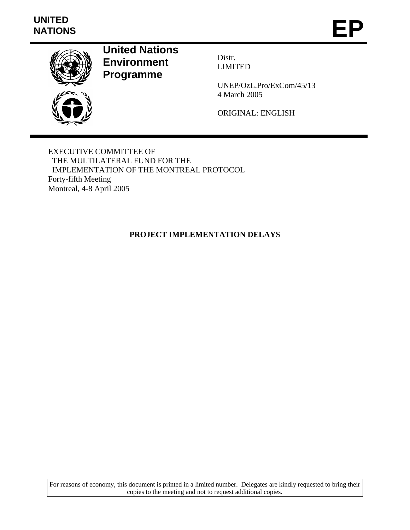# **UNITED**  UNITED<br>NATIONS **EP**



**United Nations Environment Programme** 

Distr. LIMITED

UNEP/OzL.Pro/ExCom/45/13 4 March 2005

ORIGINAL: ENGLISH

EXECUTIVE COMMITTEE OF THE MULTILATERAL FUND FOR THE IMPLEMENTATION OF THE MONTREAL PROTOCOL Forty-fifth Meeting Montreal, 4-8 April 2005

# **PROJECT IMPLEMENTATION DELAYS**

For reasons of economy, this document is printed in a limited number. Delegates are kindly requested to bring their copies to the meeting and not to request additional copies.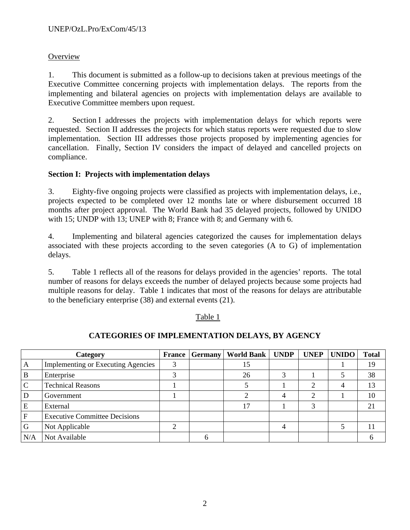# **Overview**

1. This document is submitted as a follow-up to decisions taken at previous meetings of the Executive Committee concerning projects with implementation delays. The reports from the implementing and bilateral agencies on projects with implementation delays are available to Executive Committee members upon request.

2. Section I addresses the projects with implementation delays for which reports were requested. Section II addresses the projects for which status reports were requested due to slow implementation. Section III addresses those projects proposed by implementing agencies for cancellation. Finally, Section IV considers the impact of delayed and cancelled projects on compliance.

# **Section I: Projects with implementation delays**

3. Eighty-five ongoing projects were classified as projects with implementation delays, i.e., projects expected to be completed over 12 months late or where disbursement occurred 18 months after project approval. The World Bank had 35 delayed projects, followed by UNIDO with 15; UNDP with 13; UNEP with 8; France with 8; and Germany with 6.

4. Implementing and bilateral agencies categorized the causes for implementation delays associated with these projects according to the seven categories (A to G) of implementation delays.

5. Table 1 reflects all of the reasons for delays provided in the agencies' reports. The total number of reasons for delays exceeds the number of delayed projects because some projects had multiple reasons for delay. Table 1 indicates that most of the reasons for delays are attributable to the beneficiary enterprise (38) and external events (21).

#### Table 1

# Category **France Germany World Bank UNDP UNEP UNIDO** Total A Implementing or Executing Agencies 3 15 1 19 B Enterprise 1 3 3 26 3 1 5 38 C Technical Reasons 1 5 1 2 4 13 D Government 1 1 2 4 2 1 1 10 E External 17 1 1 3 21 F Executive Committee Decisions G Not Applicable 2 4 5 11 N/A Not Available 6 6

# **CATEGORIES OF IMPLEMENTATION DELAYS, BY AGENCY**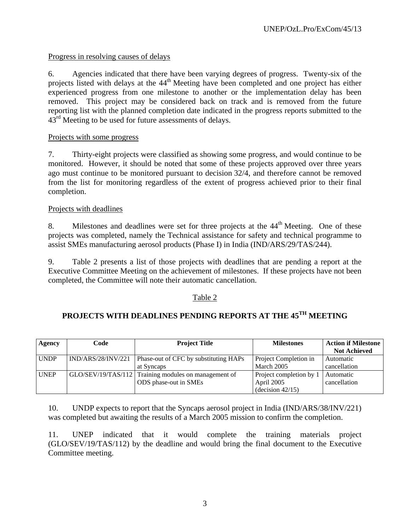# Progress in resolving causes of delays

6. Agencies indicated that there have been varying degrees of progress. Twenty-six of the projects listed with delays at the 44<sup>th</sup> Meeting have been completed and one project has either experienced progress from one milestone to another or the implementation delay has been removed. This project may be considered back on track and is removed from the future reporting list with the planned completion date indicated in the progress reports submitted to the  $43<sup>rd</sup>$  Meeting to be used for future assessments of delays.

# Projects with some progress

7. Thirty-eight projects were classified as showing some progress, and would continue to be monitored. However, it should be noted that some of these projects approved over three years ago must continue to be monitored pursuant to decision 32/4, and therefore cannot be removed from the list for monitoring regardless of the extent of progress achieved prior to their final completion.

# Projects with deadlines

8. Milestones and deadlines were set for three projects at the 44<sup>th</sup> Meeting. One of these projects was completed, namely the Technical assistance for safety and technical programme to assist SMEs manufacturing aerosol products (Phase I) in India (IND/ARS/29/TAS/244).

9. Table 2 presents a list of those projects with deadlines that are pending a report at the Executive Committee Meeting on the achievement of milestones. If these projects have not been completed, the Committee will note their automatic cancellation.

# Table 2

# **PROJECTS WITH DEADLINES PENDING REPORTS AT THE 45TH MEETING**

| Agency      | Code               | <b>Project Title</b>                                 | <b>Milestones</b>       | <b>Action if Milestone</b> |
|-------------|--------------------|------------------------------------------------------|-------------------------|----------------------------|
|             |                    |                                                      |                         | <b>Not Achieved</b>        |
| <b>UNDP</b> | IND/ARS/28/INV/221 | Phase-out of CFC by substituting HAPs                | Project Completion in   | Automatic                  |
|             |                    | at Syncaps                                           | March 2005              | cancellation               |
| <b>UNEP</b> |                    | GLO/SEV/19/TAS/112 Training modules on management of | Project completion by 1 | Automatic                  |
|             |                    | ODS phase-out in SMEs                                | April 2005              | cancellation               |
|             |                    |                                                      | $-decision 42/15)$      |                            |

10. UNDP expects to report that the Syncaps aerosol project in India (IND/ARS/38/INV/221) was completed but awaiting the results of a March 2005 mission to confirm the completion.

11. UNEP indicated that it would complete the training materials project (GLO/SEV/19/TAS/112) by the deadline and would bring the final document to the Executive Committee meeting.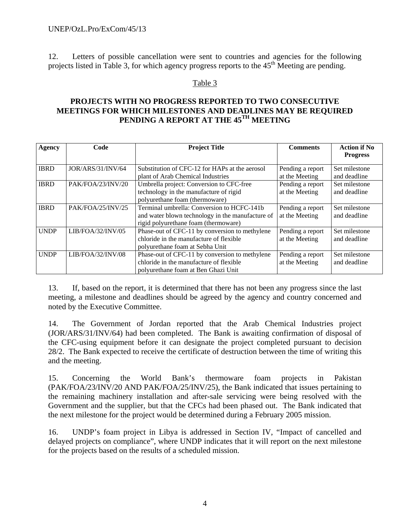12. Letters of possible cancellation were sent to countries and agencies for the following projects listed in Table 3, for which agency progress reports to the  $45<sup>th</sup>$  Meeting are pending.

#### Table 3

# **PROJECTS WITH NO PROGRESS REPORTED TO TWO CONSECUTIVE MEETINGS FOR WHICH MILESTONES AND DEADLINES MAY BE REQUIRED PENDING A REPORT AT THE 45TH MEETING**

| <b>Agency</b> | Code              | <b>Project Title</b>                                                                                                                   | <b>Comments</b>                    | <b>Action if No</b><br><b>Progress</b> |
|---------------|-------------------|----------------------------------------------------------------------------------------------------------------------------------------|------------------------------------|----------------------------------------|
| <b>IBRD</b>   | JOR/ARS/31/INV/64 | Substitution of CFC-12 for HAPs at the aerosol<br>plant of Arab Chemical Industries                                                    | Pending a report<br>at the Meeting | Set milestone<br>and deadline          |
| <b>IBRD</b>   | PAK/FOA/23/INV/20 | Umbrella project: Conversion to CFC-free<br>technology in the manufacture of rigid<br>polyurethane foam (thermoware)                   | Pending a report<br>at the Meeting | Set milestone<br>and deadline          |
| <b>IBRD</b>   | PAK/FOA/25/INV/25 | Terminal umbrella: Conversion to HCFC-141b<br>and water blown technology in the manufacture of<br>rigid polyurethane foam (thermoware) | Pending a report<br>at the Meeting | Set milestone<br>and deadline          |
| <b>UNDP</b>   | LIB/FOA/32/INV/05 | Phase-out of CFC-11 by conversion to methylene<br>chloride in the manufacture of flexible<br>polyurethane foam at Sebha Unit           | Pending a report<br>at the Meeting | Set milestone<br>and deadline          |
| <b>UNDP</b>   | LIB/FOA/32/INV/08 | Phase-out of CFC-11 by conversion to methylene<br>chloride in the manufacture of flexible<br>polyurethane foam at Ben Ghazi Unit       | Pending a report<br>at the Meeting | Set milestone<br>and deadline          |

13. If, based on the report, it is determined that there has not been any progress since the last meeting, a milestone and deadlines should be agreed by the agency and country concerned and noted by the Executive Committee.

14. The Government of Jordan reported that the Arab Chemical Industries project (JOR/ARS/31/INV/64) had been completed. The Bank is awaiting confirmation of disposal of the CFC-using equipment before it can designate the project completed pursuant to decision 28/2. The Bank expected to receive the certificate of destruction between the time of writing this and the meeting.

15. Concerning the World Bank's thermoware foam projects in Pakistan (PAK/FOA/23/INV/20 AND PAK/FOA/25/INV/25), the Bank indicated that issues pertaining to the remaining machinery installation and after-sale servicing were being resolved with the Government and the supplier, but that the CFCs had been phased out. The Bank indicated that the next milestone for the project would be determined during a February 2005 mission.

16. UNDP's foam project in Libya is addressed in Section IV, "Impact of cancelled and delayed projects on compliance", where UNDP indicates that it will report on the next milestone for the projects based on the results of a scheduled mission.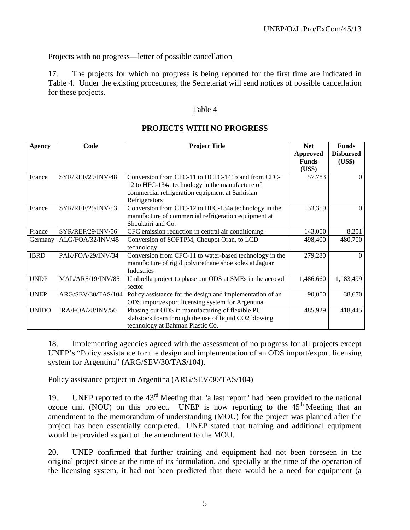# Projects with no progress—letter of possible cancellation

17. The projects for which no progress is being reported for the first time are indicated in Table 4. Under the existing procedures, the Secretariat will send notices of possible cancellation for these projects.

#### Table 4

| <b>Agency</b> | Code                     | <b>Project Title</b>                                                                                                                                                     | <b>Net</b><br><b>Approved</b><br><b>Funds</b><br>(US\$) | <b>Funds</b><br><b>Disbursed</b><br>(US\$) |
|---------------|--------------------------|--------------------------------------------------------------------------------------------------------------------------------------------------------------------------|---------------------------------------------------------|--------------------------------------------|
| France        | SYR/REF/29/INV/48        | Conversion from CFC-11 to HCFC-141b and from CFC-<br>12 to HFC-134a technology in the manufacture of<br>commercial refrigeration equipment at Sarkisian<br>Refrigerators | 57,783                                                  | $\Omega$                                   |
| France        | SYR/REF/29/INV/53        | Conversion from CFC-12 to HFC-134a technology in the<br>manufacture of commercial refrigeration equipment at<br>Shoukairi and Co.                                        | 33,359                                                  | $\Omega$                                   |
| France        | SYR/REF/29/INV/56        | CFC emission reduction in central air conditioning                                                                                                                       | 143,000                                                 | 8,251                                      |
| Germany       | ALG/FOA/32/INV/45        | Conversion of SOFTPM, Choupot Oran, to LCD<br>technology                                                                                                                 | 498,400                                                 | 480,700                                    |
| <b>IBRD</b>   | PAK/FOA/29/INV/34        | Conversion from CFC-11 to water-based technology in the<br>manufacture of rigid polyurethane shoe soles at Jaguar<br>Industries                                          | 279,280                                                 | $\Omega$                                   |
| <b>UNDP</b>   | <b>MAL/ARS/19/INV/85</b> | Umbrella project to phase out ODS at SMEs in the aerosol<br>sector                                                                                                       | 1,486,660                                               | 1,183,499                                  |
| <b>UNEP</b>   | ARG/SEV/30/TAS/104       | Policy assistance for the design and implementation of an<br>ODS import/export licensing system for Argentina                                                            | 90,000                                                  | 38,670                                     |
| <b>UNIDO</b>  | IRA/FOA/28/INV/50        | Phasing out ODS in manufacturing of flexible PU<br>slabstock foam through the use of liquid CO2 blowing<br>technology at Bahman Plastic Co.                              | 485,929                                                 | 418,445                                    |

#### **PROJECTS WITH NO PROGRESS**

18. Implementing agencies agreed with the assessment of no progress for all projects except UNEP's "Policy assistance for the design and implementation of an ODS import/export licensing system for Argentina" (ARG/SEV/30/TAS/104).

#### Policy assistance project in Argentina (ARG/SEV/30/TAS/104)

19. UNEP reported to the 43rd Meeting that "a last report" had been provided to the national ozone unit (NOU) on this project. UNEP is now reporting to the  $45<sup>th</sup>$  Meeting that an amendment to the memorandum of understanding (MOU) for the project was planned after the project has been essentially completed. UNEP stated that training and additional equipment would be provided as part of the amendment to the MOU.

20. UNEP confirmed that further training and equipment had not been foreseen in the original project since at the time of its formulation, and specially at the time of the operation of the licensing system, it had not been predicted that there would be a need for equipment (a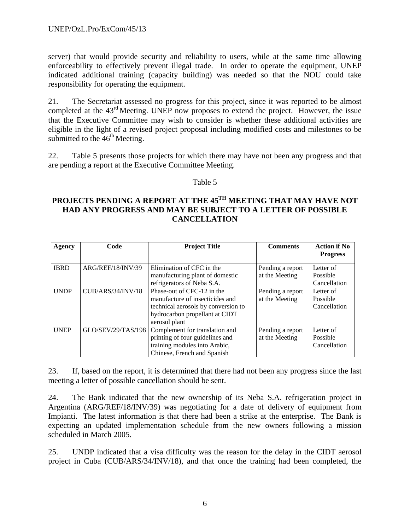server) that would provide security and reliability to users, while at the same time allowing enforceability to effectively prevent illegal trade. In order to operate the equipment, UNEP indicated additional training (capacity building) was needed so that the NOU could take responsibility for operating the equipment.

21. The Secretariat assessed no progress for this project, since it was reported to be almost completed at the  $43<sup>rd</sup>$  Meeting. UNEP now proposes to extend the project. However, the issue that the Executive Committee may wish to consider is whether these additional activities are eligible in the light of a revised project proposal including modified costs and milestones to be submitted to the  $46<sup>th</sup>$  Meeting.

22. Table 5 presents those projects for which there may have not been any progress and that are pending a report at the Executive Committee Meeting.

# Table 5

# PROJECTS PENDING A REPORT AT THE 45<sup>TH</sup> MEETING THAT MAY HAVE NOT **HAD ANY PROGRESS AND MAY BE SUBJECT TO A LETTER OF POSSIBLE CANCELLATION**

| Agency      | Code                     | <b>Project Title</b>                                                                                                                                    | <b>Comments</b>                    | <b>Action if No</b><br><b>Progress</b> |
|-------------|--------------------------|---------------------------------------------------------------------------------------------------------------------------------------------------------|------------------------------------|----------------------------------------|
| <b>IBRD</b> | ARG/REF/18/INV/39        | Elimination of CFC in the<br>manufacturing plant of domestic<br>refrigerators of Neba S.A.                                                              | Pending a report<br>at the Meeting | Letter of<br>Possible<br>Cancellation  |
| <b>UNDP</b> | <b>CUB/ARS/34/INV/18</b> | Phase-out of CFC-12 in the<br>manufacture of insecticides and<br>technical aerosols by conversion to<br>hydrocarbon propellant at CIDT<br>aerosol plant | Pending a report<br>at the Meeting | Letter of<br>Possible<br>Cancellation  |
| <b>UNEP</b> | GLO/SEV/29/TAS/198       | Complement for translation and<br>printing of four guidelines and<br>training modules into Arabic,<br>Chinese, French and Spanish                       | Pending a report<br>at the Meeting | Letter of<br>Possible<br>Cancellation  |

23. If, based on the report, it is determined that there had not been any progress since the last meeting a letter of possible cancellation should be sent.

24. The Bank indicated that the new ownership of its Neba S.A. refrigeration project in Argentina (ARG/REF/18/INV/39) was negotiating for a date of delivery of equipment from Impianti. The latest information is that there had been a strike at the enterprise. The Bank is expecting an updated implementation schedule from the new owners following a mission scheduled in March 2005.

25. UNDP indicated that a visa difficulty was the reason for the delay in the CIDT aerosol project in Cuba (CUB/ARS/34/INV/18), and that once the training had been completed, the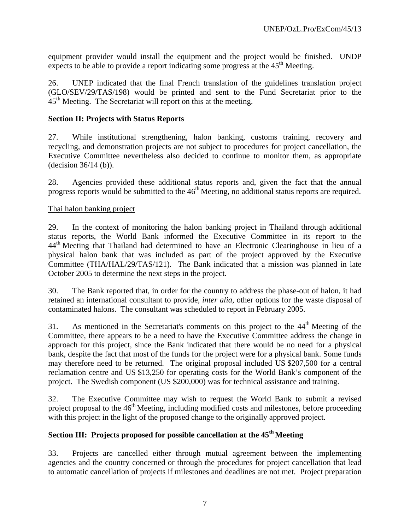equipment provider would install the equipment and the project would be finished. UNDP expects to be able to provide a report indicating some progress at the  $45<sup>th</sup>$  Meeting.

26. UNEP indicated that the final French translation of the guidelines translation project (GLO/SEV/29/TAS/198) would be printed and sent to the Fund Secretariat prior to the  $45<sup>th</sup>$  Meeting. The Secretariat will report on this at the meeting.

# **Section II: Projects with Status Reports**

27. While institutional strengthening, halon banking, customs training, recovery and recycling, and demonstration projects are not subject to procedures for project cancellation, the Executive Committee nevertheless also decided to continue to monitor them, as appropriate (decision 36/14 (b)).

28. Agencies provided these additional status reports and, given the fact that the annual progress reports would be submitted to the  $46<sup>th</sup>$  Meeting, no additional status reports are required.

# Thai halon banking project

29. In the context of monitoring the halon banking project in Thailand through additional status reports, the World Bank informed the Executive Committee in its report to the 44<sup>th</sup> Meeting that Thailand had determined to have an Electronic Clearinghouse in lieu of a physical halon bank that was included as part of the project approved by the Executive Committee (THA/HAL/29/TAS/121). The Bank indicated that a mission was planned in late October 2005 to determine the next steps in the project.

30. The Bank reported that, in order for the country to address the phase-out of halon, it had retained an international consultant to provide, *inter alia,* other options for the waste disposal of contaminated halons. The consultant was scheduled to report in February 2005.

31. As mentioned in the Secretariat's comments on this project to the  $44<sup>th</sup>$  Meeting of the Committee, there appears to be a need to have the Executive Committee address the change in approach for this project, since the Bank indicated that there would be no need for a physical bank, despite the fact that most of the funds for the project were for a physical bank. Some funds may therefore need to be returned. The original proposal included US \$207,500 for a central reclamation centre and US \$13,250 for operating costs for the World Bank's component of the project. The Swedish component (US \$200,000) was for technical assistance and training.

32. The Executive Committee may wish to request the World Bank to submit a revised project proposal to the 46<sup>th</sup> Meeting, including modified costs and milestones, before proceeding with this project in the light of the proposed change to the originally approved project.

# Section III: Projects proposed for possible cancellation at the 45<sup>th</sup> Meeting

33. Projects are cancelled either through mutual agreement between the implementing agencies and the country concerned or through the procedures for project cancellation that lead to automatic cancellation of projects if milestones and deadlines are not met. Project preparation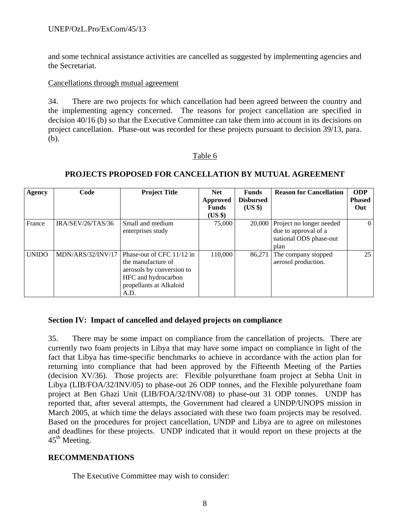and some technical assistance activities are cancelled as suggested by implementing agencies and the Secretariat.

#### Cancellations through mutual agreement

34. There are two projects for which cancellation had been agreed between the country and the implementing agency concerned. The reasons for project cancellation are specified in decision 40/16 (b) so that the Executive Committee can take them into account in its decisions on project cancellation. Phase-out was recorded for these projects pursuant to decision 39/13, para. (b).

#### Table 6

| Agency       | Code              | <b>Project Title</b>                                                                                                                   | <b>Net</b><br>Approved<br><b>Funds</b><br>$(US \$ | <b>Funds</b><br><b>Disbursed</b><br>$(US \$ | <b>Reason for Cancellation</b>                                                     | <b>ODP</b><br><b>Phased</b><br>Out |
|--------------|-------------------|----------------------------------------------------------------------------------------------------------------------------------------|---------------------------------------------------|---------------------------------------------|------------------------------------------------------------------------------------|------------------------------------|
| France       | IRA/SEV/26/TAS/36 | Small and medium<br>enterprises study                                                                                                  | 75,000                                            | 20,000                                      | Project no longer needed<br>due to approval of a<br>national ODS phase-out<br>plan | $\Omega$                           |
| <b>UNIDO</b> | MDN/ARS/32/INV/17 | Phase-out of CFC 11/12 in<br>the manufacture of<br>aerosols by conversion to<br>HFC and hydrocarbon<br>propellants at Alkaloid<br>A.D. | 110,000                                           | 86,271                                      | The company stopped<br>aerosol production.                                         | 25                                 |

# **PROJECTS PROPOSED FOR CANCELLATION BY MUTUAL AGREEMENT**

#### **Section IV: Impact of cancelled and delayed projects on compliance**

35. There may be some impact on compliance from the cancellation of projects. There are currently two foam projects in Libya that may have some impact on compliance in light of the fact that Libya has time-specific benchmarks to achieve in accordance with the action plan for returning into compliance that had been approved by the Fifteenth Meeting of the Parties (decision XV/36). Those projects are: Flexible polyurethane foam project at Sebha Unit in Libya (LIB/FOA/32/INV/05) to phase-out 26 ODP tonnes, and the Flexible polyurethane foam project at Ben Ghazi Unit (LIB/FOA/32/INV/08) to phase-out 31 ODP tonnes. UNDP has reported that, after several attempts, the Government had cleared a UNDP/UNOPS mission in March 2005, at which time the delays associated with these two foam projects may be resolved. Based on the procedures for project cancellation, UNDP and Libya are to agree on milestones and deadlines for these projects. UNDP indicated that it would report on these projects at the  $45<sup>th</sup>$  Meeting.

#### **RECOMMENDATIONS**

The Executive Committee may wish to consider: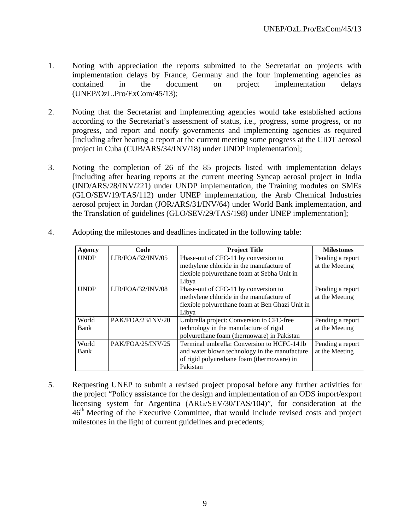- 1. Noting with appreciation the reports submitted to the Secretariat on projects with implementation delays by France, Germany and the four implementing agencies as contained in the document on project implementation delays (UNEP/OzL.Pro/ExCom/45/13);
- 2. Noting that the Secretariat and implementing agencies would take established actions according to the Secretariat's assessment of status, i.e., progress, some progress, or no progress, and report and notify governments and implementing agencies as required [including after hearing a report at the current meeting some progress at the CIDT aerosol project in Cuba (CUB/ARS/34/INV/18) under UNDP implementation];
- 3. Noting the completion of 26 of the 85 projects listed with implementation delays [including after hearing reports at the current meeting Syncap aerosol project in India (IND/ARS/28/INV/221) under UNDP implementation, the Training modules on SMEs (GLO/SEV/19/TAS/112) under UNEP implementation, the Arab Chemical Industries aerosol project in Jordan (JOR/ARS/31/INV/64) under World Bank implementation, and the Translation of guidelines (GLO/SEV/29/TAS/198) under UNEP implementation];

| Agency      | Code              | <b>Project Title</b>                            | <b>Milestones</b> |
|-------------|-------------------|-------------------------------------------------|-------------------|
| <b>UNDP</b> | LIB/FOA/32/INV/05 | Phase-out of CFC-11 by conversion to            | Pending a report  |
|             |                   | methylene chloride in the manufacture of        | at the Meeting    |
|             |                   | flexible polyurethane foam at Sebha Unit in     |                   |
|             |                   | Libya                                           |                   |
| <b>UNDP</b> | LIB/FOA/32/INV/08 | Phase-out of CFC-11 by conversion to            | Pending a report  |
|             |                   | methylene chloride in the manufacture of        | at the Meeting    |
|             |                   | flexible polyurethane foam at Ben Ghazi Unit in |                   |
|             |                   | Libya                                           |                   |
| World       | PAK/FOA/23/INV/20 | Umbrella project: Conversion to CFC-free        | Pending a report  |
| Bank        |                   | technology in the manufacture of rigid          | at the Meeting    |
|             |                   | polyurethane foam (thermoware) in Pakistan      |                   |
| World       | PAK/FOA/25/INV/25 | Terminal umbrella: Conversion to HCFC-141b      | Pending a report  |
| Bank        |                   | and water blown technology in the manufacture   | at the Meeting    |
|             |                   | of rigid polyurethane foam (thermoware) in      |                   |
|             |                   | Pakistan                                        |                   |

4. Adopting the milestones and deadlines indicated in the following table:

5. Requesting UNEP to submit a revised project proposal before any further activities for the project "Policy assistance for the design and implementation of an ODS import/export licensing system for Argentina (ARG/SEV/30/TAS/104)", for consideration at the  $46<sup>th</sup>$  Meeting of the Executive Committee, that would include revised costs and project milestones in the light of current guidelines and precedents;